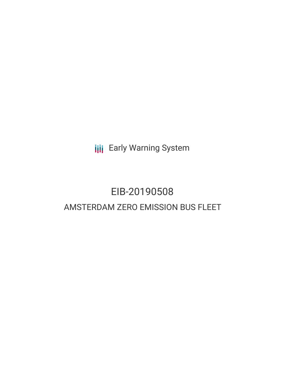**III** Early Warning System

# EIB-20190508 AMSTERDAM ZERO EMISSION BUS FLEET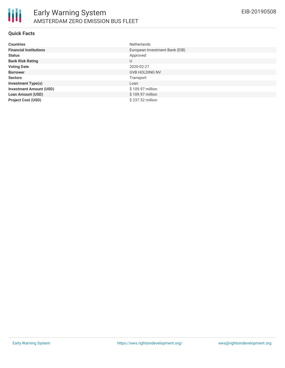

#### **Quick Facts**

| <b>Countries</b>               | <b>Netherlands</b>             |
|--------------------------------|--------------------------------|
| <b>Financial Institutions</b>  | European Investment Bank (EIB) |
| <b>Status</b>                  | Approved                       |
| <b>Bank Risk Rating</b>        | U                              |
| <b>Voting Date</b>             | 2020-02-27                     |
| <b>Borrower</b>                | <b>GVB HOLDING NV</b>          |
| <b>Sectors</b>                 | Transport                      |
| <b>Investment Type(s)</b>      | Loan                           |
| <b>Investment Amount (USD)</b> | \$109.97 million               |
| <b>Loan Amount (USD)</b>       | \$109.97 million               |
| <b>Project Cost (USD)</b>      | \$237.52 million               |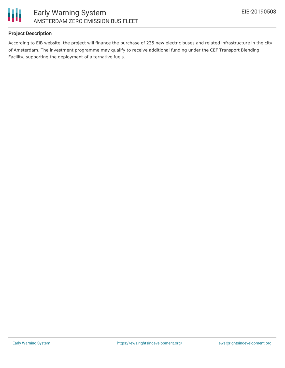

#### **Project Description**

According to EIB website, the project will finance the purchase of 235 new electric buses and related infrastructure in the city of Amsterdam. The investment programme may qualify to receive additional funding under the CEF Transport Blending Facility, supporting the deployment of alternative fuels.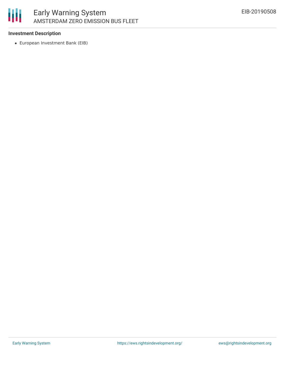

# Early Warning System AMSTERDAM ZERO EMISSION BUS FLEET

#### **Investment Description**

European Investment Bank (EIB)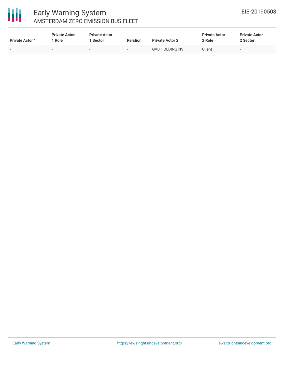

## Early Warning System AMSTERDAM ZERO EMISSION BUS FLEET

| <b>Private Actor 1</b> | <b>Private Actor</b><br>l Role | <b>Private Actor</b><br>1 Sector | <b>Relation</b> | <b>Private Actor 2</b> | <b>Private Actor</b><br>2 Role | <b>Private Actor</b><br>2 Sector |
|------------------------|--------------------------------|----------------------------------|-----------------|------------------------|--------------------------------|----------------------------------|
|                        | $\sim$                         | $\sim$                           |                 | <b>GVB HOLDING NV</b>  | Client                         | $\sim$                           |